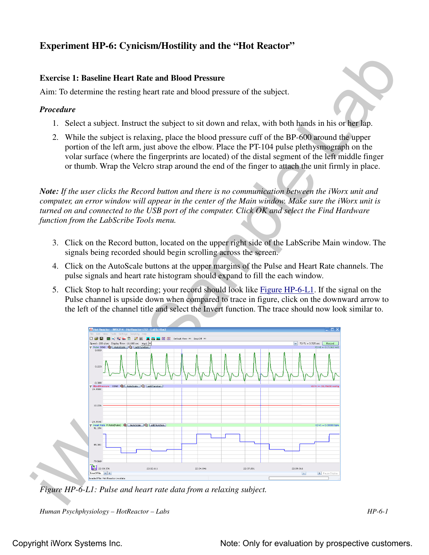# **Experiment HP-6: Cynicism/Hostility and the "Hot Reactor"**

## **Exercise 1: Baseline Heart Rate and Blood Pressure**

Aim: To determine the resting heart rate and blood pressure of the subject.

#### *Procedure*

- 1. Select a subject. Instruct the subject to sit down and relax, with both hands in his or her lap.
- 2. While the subject is relaxing, place the blood pressure cuff of the BP-600 around the upper portion of the left arm, just above the elbow. Place the PT-104 pulse plethysmograph on the volar surface (where the fingerprints are located) of the distal segment of the left middle finger or thumb. Wrap the Velcro strap around the end of the finger to attach the unit firmly in place.

*Note: If the user clicks the Record button and there is no communication between the iWorx unit and computer, an error window will appear in the center of the Main window. Make sure the iWorx unit is turned on and connected to the USB port of the computer. Click OK and select the Find Hardware function from the LabScribe Tools menu.* 

- 3. Click on the Record button, located on the upper right side of the LabScribe Main window. The signals being recorded should begin scrolling across the screen.
- 4. Click on the AutoScale buttons at the upper margins of the Pulse and Heart Rate channels. The pulse signals and heart rate histogram should expand to fill the each window.
- 5. Click Stop to halt recording; your record should look like Figure HP-6-L1. If the signal on the Pulse channel is upside down when compared to trace in figure, click on the downward arrow to the left of the channel title and select the Invert function. The trace should now look similar to.



*Figure HP-6-L1: Pulse and heart rate data from a relaxing subject.*

*Human Psychphysiology – HotReactor – Labs HP-6-1*

## Copyright iWorx Systems Inc. The Note: Only for evaluation by prospective customers.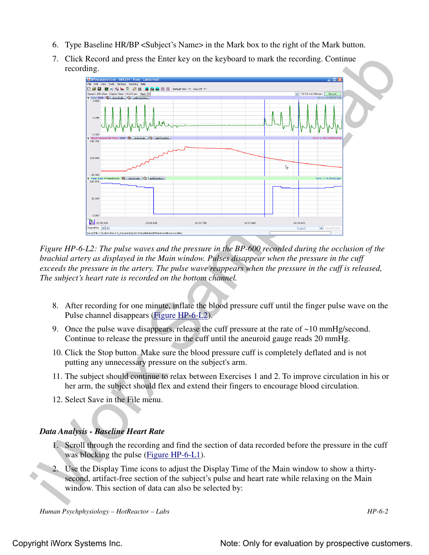- 6. Type Baseline HR/BP <Subject's Name> in the Mark box to the right of the Mark button.
- 7. Click Record and press the Enter key on the keyboard to mark the recording. Continue recording.



*Figure HP-6-L2: The pulse waves and the pressure in the BP-600 recorded during the occlusion of the brachial artery as displayed in the Main window. Pulses disappear when the pressure in the cuff exceeds the pressure in the artery. The pulse wave reappears when the pressure in the cuff is released, The subject's heart rate is recorded on the bottom channel.*

- 8. After recording for one minute, inflate the blood pressure cuff until the finger pulse wave on the Pulse channel disappears (Figure HP-6-L2).
- 9. Once the pulse wave disappears, release the cuff pressure at the rate of  $\sim 10 \text{ mmHg/second}$ . Continue to release the pressure in the cuff until the aneuroid gauge reads 20 mmHg.
- 10. Click the Stop button. Make sure the blood pressure cuff is completely deflated and is not putting any unnecessary pressure on the subject's arm.
- 11. The subject should continue to relax between Exercises 1 and 2. To improve circulation in his or her arm, the subject should flex and extend their fingers to encourage blood circulation.
- 12. Select Save in the File menu.

## *Data Analysis - Baseline Heart Rate*

- 1. Scroll through the recording and find the section of data recorded before the pressure in the cuff was blocking the pulse (Figure HP-6-L1).
- 2. Use the Display Time icons to adjust the Display Time of the Main window to show a thirtysecond, artifact-free section of the subject's pulse and heart rate while relaxing on the Main window. This section of data can also be selected by: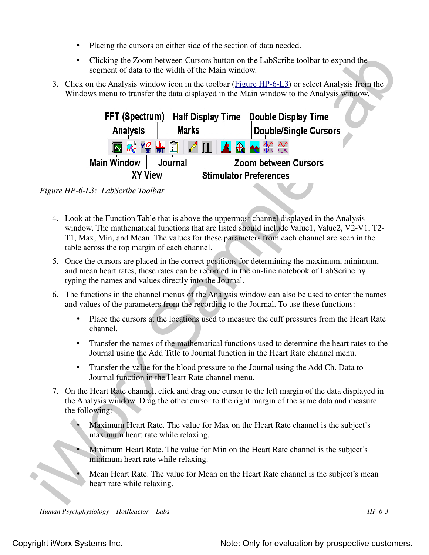- Placing the cursors on either side of the section of data needed.
- Clicking the Zoom between Cursors button on the LabScribe toolbar to expand the segment of data to the width of the Main window.
- 3. Click on the Analysis window icon in the toolbar (Figure HP-6-L3) or select Analysis from the Windows menu to transfer the data displayed in the Main window to the Analysis window.



*Figure HP-6-L3: LabScribe Toolbar*

- 4. Look at the Function Table that is above the uppermost channel displayed in the Analysis window. The mathematical functions that are listed should include Value1, Value2, V2-V1, T2- T1, Max, Min, and Mean. The values for these parameters from each channel are seen in the table across the top margin of each channel.
- 5. Once the cursors are placed in the correct positions for determining the maximum, minimum, and mean heart rates, these rates can be recorded in the on-line notebook of LabScribe by typing the names and values directly into the Journal.
- 6. The functions in the channel menus of the Analysis window can also be used to enter the names and values of the parameters from the recording to the Journal. To use these functions:
	- Place the cursors at the locations used to measure the cuff pressures from the Heart Rate channel.
	- Transfer the names of the mathematical functions used to determine the heart rates to the Journal using the Add Title to Journal function in the Heart Rate channel menu.
	- Transfer the value for the blood pressure to the Journal using the Add Ch. Data to Journal function in the Heart Rate channel menu.
- 7. On the Heart Rate channel, click and drag one cursor to the left margin of the data displayed in the Analysis window. Drag the other cursor to the right margin of the same data and measure the following:
	- Maximum Heart Rate. The value for Max on the Heart Rate channel is the subject's maximum heart rate while relaxing.
		- Minimum Heart Rate. The value for Min on the Heart Rate channel is the subject's minimum heart rate while relaxing.
			- Mean Heart Rate. The value for Mean on the Heart Rate channel is the subject's mean heart rate while relaxing.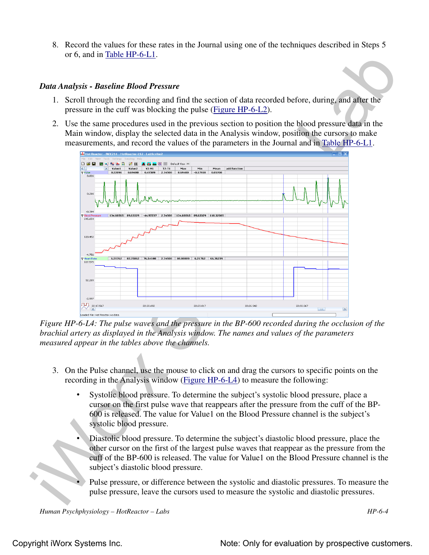8. Record the values for these rates in the Journal using one of the techniques described in Steps 5 or 6, and in Table HP-6-L1.

#### *Data Analysis - Baseline Blood Pressure*

- 1. Scroll through the recording and find the section of data recorded before, during, and after the pressure in the cuff was blocking the pulse (Figure HP-6-L2).
- 2. Use the same procedures used in the previous section to position the blood pressure data in the Main window, display the selected data in the Analysis window, position the cursors to make measurements, and record the values of the parameters in the Journal and in Table HP-6-L1.



*Figure HP-6-L4: The pulse waves and the pressure in the BP-600 recorded during the occlusion of the brachial artery as displayed in the Analysis window. The names and values of the parameters measured appear in the tables above the channels.*

- 3. On the Pulse channel, use the mouse to click on and drag the cursors to specific points on the recording in the Analysis window (Figure HP-6-L4) to measure the following:
	- Systolic blood pressure. To determine the subject's systolic blood pressure, place a cursor on the first pulse wave that reappears after the pressure from the cuff of the BP-600 is released. The value for Value1 on the Blood Pressure channel is the subject's systolic blood pressure.
	- Diastolic blood pressure. To determine the subject's diastolic blood pressure, place the other cursor on the first of the largest pulse waves that reappear as the pressure from the cuff of the BP-600 is released. The value for Value1 on the Blood Pressure channel is the subject's diastolic blood pressure.
	- Pulse pressure, or difference between the systolic and diastolic pressures. To measure the pulse pressure, leave the cursors used to measure the systolic and diastolic pressures.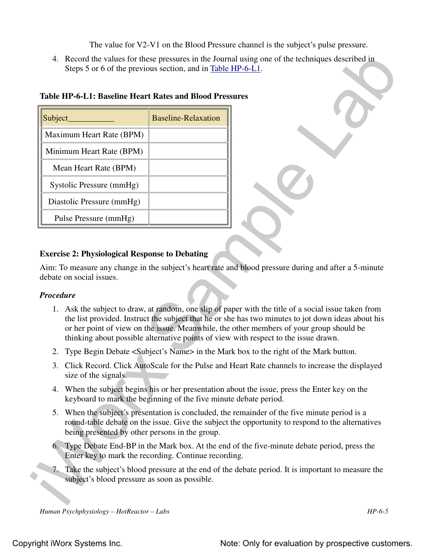The value for V2-V1 on the Blood Pressure channel is the subject's pulse pressure.

| Subject_               |                                                                  | <b>Baseline-Relaxation</b>                            |                                                                                                                                                                                                                                                                                                                                                                                                                |
|------------------------|------------------------------------------------------------------|-------------------------------------------------------|----------------------------------------------------------------------------------------------------------------------------------------------------------------------------------------------------------------------------------------------------------------------------------------------------------------------------------------------------------------------------------------------------------------|
|                        | Maximum Heart Rate (BPM)                                         |                                                       |                                                                                                                                                                                                                                                                                                                                                                                                                |
|                        | Minimum Heart Rate (BPM)                                         |                                                       |                                                                                                                                                                                                                                                                                                                                                                                                                |
|                        | Mean Heart Rate (BPM)                                            |                                                       |                                                                                                                                                                                                                                                                                                                                                                                                                |
|                        | Systolic Pressure (mmHg)                                         |                                                       |                                                                                                                                                                                                                                                                                                                                                                                                                |
|                        | Diastolic Pressure (mmHg)                                        |                                                       |                                                                                                                                                                                                                                                                                                                                                                                                                |
|                        | Pulse Pressure (mmHg)                                            |                                                       |                                                                                                                                                                                                                                                                                                                                                                                                                |
|                        | debate on social issues.                                         | <b>Exercise 2: Physiological Response to Debating</b> |                                                                                                                                                                                                                                                                                                                                                                                                                |
|                        |                                                                  |                                                       | Aim: To measure any change in the subject's heart rate and blood pressure during and after a 5-minute<br>1. Ask the subject to draw, at random, one slip of paper with the title of a social issue taken from<br>the list provided. Instruct the subject that he or she has two minutes to jot down ideas about his<br>or her point of view on the issue. Meanwhile, the other members of your group should be |
|                        |                                                                  |                                                       | thinking about possible alternative points of view with respect to the issue drawn.                                                                                                                                                                                                                                                                                                                            |
|                        |                                                                  |                                                       | 2. Type Begin Debate <subject's name=""> in the Mark box to the right of the Mark button.</subject's>                                                                                                                                                                                                                                                                                                          |
|                        | size of the signals.                                             |                                                       | 3. Click Record. Click AutoScale for the Pulse and Heart Rate channels to increase the displayed                                                                                                                                                                                                                                                                                                               |
|                        | keyboard to mark the beginning of the five minute debate period. |                                                       | 4. When the subject begins his or her presentation about the issue, press the Enter key on the                                                                                                                                                                                                                                                                                                                 |
|                        | being presented by other persons in the group.                   |                                                       | 5. When the subject's presentation is concluded, the remainder of the five minute period is a<br>round-table debate on the issue. Give the subject the opportunity to respond to the alternatives                                                                                                                                                                                                              |
| <b>Procedure</b><br>6. | Enter key to mark the recording. Continue recording.             |                                                       | Type Debate End-BP in the Mark box. At the end of the five-minute debate period, press the                                                                                                                                                                                                                                                                                                                     |

# **Table HP-6-L1: Baseline Heart Rates and Blood Pressures**

# **Exercise 2: Physiological Response to Debating**

#### *Procedure*

- 1. Ask the subject to draw, at random, one slip of paper with the title of a social issue taken from the list provided. Instruct the subject that he or she has two minutes to jot down ideas about his or her point of view on the issue. Meanwhile, the other members of your group should be thinking about possible alternative points of view with respect to the issue drawn.
- 2. Type Begin Debate <Subject's Name> in the Mark box to the right of the Mark button.
- 3. Click Record. Click AutoScale for the Pulse and Heart Rate channels to increase the displayed size of the signals.
- 4. When the subject begins his or her presentation about the issue, press the Enter key on the keyboard to mark the beginning of the five minute debate period.
- 5. When the subject's presentation is concluded, the remainder of the five minute period is a round-table debate on the issue. Give the subject the opportunity to respond to the alternatives being presented by other persons in the group.
- 6. Type Debate End-BP in the Mark box. At the end of the five-minute debate period, press the Enter key to mark the recording. Continue recording.
- 7. Take the subject's blood pressure at the end of the debate period. It is important to measure the subject's blood pressure as soon as possible.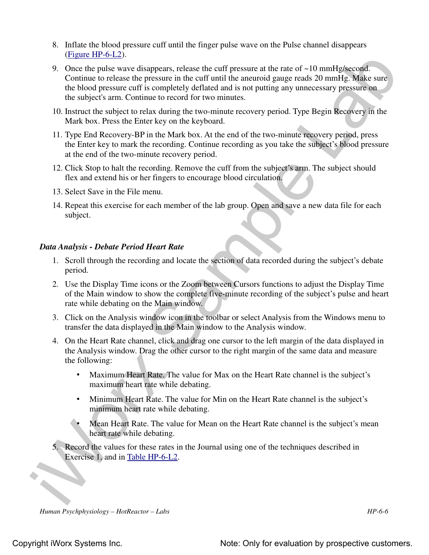- 8. Inflate the blood pressure cuff until the finger pulse wave on the Pulse channel disappears (Figure HP-6-L2).
- (Eigner III)  $\triangle E$ ). Some than present reduce the coff pressure at the rate of -10 mmHz)<br>second Comincing Concerns the correlation of the mean of the block pressure can be block pressure can be somether by denoted and so 9. Once the pulse wave disappears, release the cuff pressure at the rate of ~10 mmHg/second. Continue to release the pressure in the cuff until the aneuroid gauge reads 20 mmHg. Make sure the blood pressure cuff is completely deflated and is not putting any unnecessary pressure on the subject's arm. Continue to record for two minutes.
	- 10. Instruct the subject to relax during the two-minute recovery period. Type Begin Recovery in the Mark box. Press the Enter key on the keyboard.
	- 11. Type End Recovery-BP in the Mark box. At the end of the two-minute recovery period, press the Enter key to mark the recording. Continue recording as you take the subject's blood pressure at the end of the two-minute recovery period.
	- 12. Click Stop to halt the recording. Remove the cuff from the subject's arm. The subject should flex and extend his or her fingers to encourage blood circulation.
	- 13. Select Save in the File menu.
	- 14. Repeat this exercise for each member of the lab group. Open and save a new data file for each subject.

### *Data Analysis - Debate Period Heart Rate*

- 1. Scroll through the recording and locate the section of data recorded during the subject's debate period.
- 2. Use the Display Time icons or the Zoom between Cursors functions to adjust the Display Time of the Main window to show the complete five-minute recording of the subject's pulse and heart rate while debating on the Main window.
- 3. Click on the Analysis window icon in the toolbar or select Analysis from the Windows menu to transfer the data displayed in the Main window to the Analysis window.
- 4. On the Heart Rate channel, click and drag one cursor to the left margin of the data displayed in the Analysis window. Drag the other cursor to the right margin of the same data and measure the following:
	- Maximum Heart Rate. The value for Max on the Heart Rate channel is the subject's maximum heart rate while debating.
	- Minimum Heart Rate. The value for Min on the Heart Rate channel is the subject's minimum heart rate while debating.
	- Mean Heart Rate. The value for Mean on the Heart Rate channel is the subject's mean heart rate while debating.
- 5. Record the values for these rates in the Journal using one of the techniques described in Exercise 1, and in Table HP-6-L2.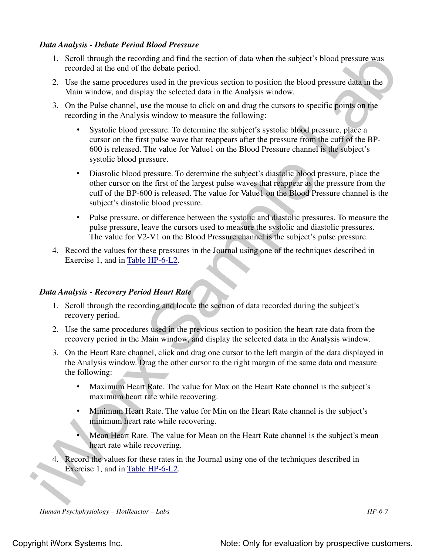#### *Data Analysis - Debate Period Blood Pressure*

- 1. Scroll through the recording and find the section of data when the subject's blood pressure was recorded at the end of the debate period.
- 2. Use the same procedures used in the previous section to position the blood pressure data in the Main window, and display the selected data in the Analysis window.
- 3. On the Pulse channel, use the mouse to click on and drag the cursors to specific points on the recording in the Analysis window to measure the following:
	- Systolic blood pressure. To determine the subject's systolic blood pressure, place a cursor on the first pulse wave that reappears after the pressure from the cuff of the BP-600 is released. The value for Value1 on the Blood Pressure channel is the subject's systolic blood pressure.
- 1. Second through the recevoring and find the section of data when the subject's blond pressure was<br>
recevolent at the teator pressure was the studie pressure of the delate period. Second the teator is the proposition tha • Diastolic blood pressure. To determine the subject's diastolic blood pressure, place the other cursor on the first of the largest pulse waves that reappear as the pressure from the cuff of the BP-600 is released. The value for Value1 on the Blood Pressure channel is the subject's diastolic blood pressure.
	- Pulse pressure, or difference between the systolic and diastolic pressures. To measure the pulse pressure, leave the cursors used to measure the systolic and diastolic pressures. The value for V2-V1 on the Blood Pressure channel is the subject's pulse pressure.
	- 4. Record the values for these pressures in the Journal using one of the techniques described in Exercise 1, and in Table HP-6-L2.

## *Data Analysis - Recovery Period Heart Rate*

- 1. Scroll through the recording and locate the section of data recorded during the subject's recovery period.
- 2. Use the same procedures used in the previous section to position the heart rate data from the recovery period in the Main window, and display the selected data in the Analysis window.
- 3. On the Heart Rate channel, click and drag one cursor to the left margin of the data displayed in the Analysis window. Drag the other cursor to the right margin of the same data and measure the following:
	- Maximum Heart Rate. The value for Max on the Heart Rate channel is the subject's maximum heart rate while recovering.
	- Minimum Heart Rate. The value for Min on the Heart Rate channel is the subject's minimum heart rate while recovering.
	- Mean Heart Rate. The value for Mean on the Heart Rate channel is the subject's mean heart rate while recovering.
- 4. Record the values for these rates in the Journal using one of the techniques described in Exercise 1, and in Table HP-6-L2.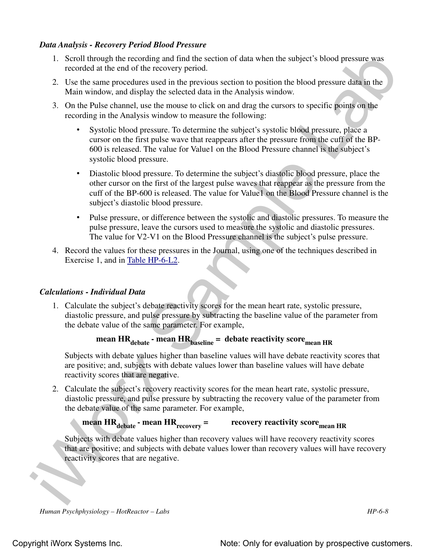#### *Data Analysis - Recovery Period Blood Pressure*

- 1. Scroll through the recording and find the section of data when the subject's blood pressure was recorded at the end of the recovery period.
- 2. Use the same procedures used in the previous section to position the blood pressure data in the Main window, and display the selected data in the Analysis window.
- 3. On the Pulse channel, use the mouse to click on and drag the cursors to specific points on the recording in the Analysis window to measure the following:
	- Systolic blood pressure. To determine the subject's systolic blood pressure, place a cursor on the first pulse wave that reappears after the pressure from the cuff of the BP-600 is released. The value for Value1 on the Blood Pressure channel is the subject's systolic blood pressure.
- 1. Second through the recessiving and find the section of data when the subject's blond pressure was recessed at the end of the recessory period.<br>
2. Use the same procedures used at the pressions exciton to position the b • Diastolic blood pressure. To determine the subject's diastolic blood pressure, place the other cursor on the first of the largest pulse waves that reappear as the pressure from the cuff of the BP-600 is released. The value for Value1 on the Blood Pressure channel is the subject's diastolic blood pressure.
	- Pulse pressure, or difference between the systolic and diastolic pressures. To measure the pulse pressure, leave the cursors used to measure the systolic and diastolic pressures. The value for V2-V1 on the Blood Pressure channel is the subject's pulse pressure.
	- 4. Record the values for these pressures in the Journal, using one of the techniques described in Exercise 1, and in Table HP-6-L2.

#### *Calculations - Individual Data*

1. Calculate the subject's debate reactivity scores for the mean heart rate, systolic pressure, diastolic pressure, and pulse pressure by subtracting the baseline value of the parameter from the debate value of the same parameter. For example,

# **mean HR** $_{\text{debate}}$  **- mean HR** $_{\text{baseline}}$  = debate reactivity score<sub>mean HR</sub>

Subjects with debate values higher than baseline values will have debate reactivity scores that are positive; and, subjects with debate values lower than baseline values will have debate reactivity scores that are negative.

2. Calculate the subject's recovery reactivity scores for the mean heart rate, systolic pressure, diastolic pressure, and pulse pressure by subtracting the recovery value of the parameter from the debate value of the same parameter. For example,

#### $mean HR_{debate}$  **- mean HR**<sub>recovery</sub> =  **= recovery reactivity scoremean HR**

Subjects with debate values higher than recovery values will have recovery reactivity scores that are positive; and subjects with debate values lower than recovery values will have recovery reactivity scores that are negative.

```
Human Psychphysiology – HotReactor – Labs HP-6-8
```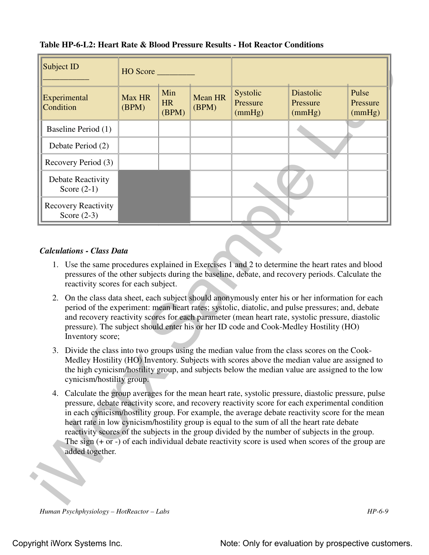|                                                                                                                                                | HO Score               |                           |                         |                                                                                                                                                                                                                                                                                                                                                                                                                                                                                                             |                                 |                             |
|------------------------------------------------------------------------------------------------------------------------------------------------|------------------------|---------------------------|-------------------------|-------------------------------------------------------------------------------------------------------------------------------------------------------------------------------------------------------------------------------------------------------------------------------------------------------------------------------------------------------------------------------------------------------------------------------------------------------------------------------------------------------------|---------------------------------|-----------------------------|
| Experimental<br>Condition                                                                                                                      | <b>Max HR</b><br>(BPM) | Min<br><b>HR</b><br>(BPM) | <b>Mean HR</b><br>(BPM) | Systolic<br>Pressure<br>(mmHg)                                                                                                                                                                                                                                                                                                                                                                                                                                                                              | Diastolic<br>Pressure<br>(mmHg) | Pulse<br>Pressure<br>(mmHg) |
| Baseline Period (1)                                                                                                                            |                        |                           |                         |                                                                                                                                                                                                                                                                                                                                                                                                                                                                                                             |                                 |                             |
| Debate Period (2)                                                                                                                              |                        |                           |                         |                                                                                                                                                                                                                                                                                                                                                                                                                                                                                                             |                                 |                             |
| Recovery Period (3)                                                                                                                            |                        |                           |                         |                                                                                                                                                                                                                                                                                                                                                                                                                                                                                                             |                                 |                             |
| <b>Debate Reactivity</b><br>Score $(2-1)$                                                                                                      |                        |                           |                         |                                                                                                                                                                                                                                                                                                                                                                                                                                                                                                             |                                 |                             |
| <b>Recovery Reactivity</b><br>Score $(2-3)$                                                                                                    |                        |                           |                         |                                                                                                                                                                                                                                                                                                                                                                                                                                                                                                             |                                 |                             |
| 2. On the class data sheet, each subject should anonymously enter his or her information for each                                              |                        |                           |                         |                                                                                                                                                                                                                                                                                                                                                                                                                                                                                                             |                                 |                             |
|                                                                                                                                                |                        |                           |                         | period of the experiment: mean heart rates; systolic, diatolic, and pulse pressures; and, debate<br>and recovery reactivity scores for each parameter (mean heart rate, systolic pressure, diastolic<br>pressure). The subject should enter his or her ID code and Cook-Medley Hostility (HO)                                                                                                                                                                                                               |                                 |                             |
| Inventory score;<br>3. Divide the class into two groups using the median value from the class scores on the Cook-<br>cynicism/hostility group. |                        |                           |                         | Medley Hostility (HO) Inventory. Subjects with scores above the median value are assigned to<br>the high cynicism/hostility group, and subjects below the median value are assigned to the low                                                                                                                                                                                                                                                                                                              |                                 |                             |
| 4. Calculate the group averages for the mean heart rate, systolic pressure, diastolic pressure, pulse<br>added together.                       |                        |                           |                         | pressure, debate reactivity score, and recovery reactivity score for each experimental condition<br>in each cynicism/hostility group. For example, the average debate reactivity score for the mean<br>heart rate in low cynicism/hostility group is equal to the sum of all the heart rate debate<br>reactivity scores of the subjects in the group divided by the number of subjects in the group.<br>The sign $(+ or -)$ of each individual debate reactivity score is used when scores of the group are |                                 |                             |

#### **Table HP-6-L2: Heart Rate & Blood Pressure Results - Hot Reactor Conditions**

#### *Calculations - Class Data*

- 1. Use the same procedures explained in Exercises 1 and 2 to determine the heart rates and blood pressures of the other subjects during the baseline, debate, and recovery periods. Calculate the reactivity scores for each subject.
- 2. On the class data sheet, each subject should anonymously enter his or her information for each period of the experiment: mean heart rates; systolic, diatolic, and pulse pressures; and, debate and recovery reactivity scores for each parameter (mean heart rate, systolic pressure, diastolic pressure). The subject should enter his or her ID code and Cook-Medley Hostility (HO) Inventory score;
- 3. Divide the class into two groups using the median value from the class scores on the Cook-Medley Hostility (HO) Inventory. Subjects with scores above the median value are assigned to the high cynicism/hostility group, and subjects below the median value are assigned to the low cynicism/hostility group.
- 4. Calculate the group averages for the mean heart rate, systolic pressure, diastolic pressure, pulse pressure, debate reactivity score, and recovery reactivity score for each experimental condition in each cynicism/hostility group. For example, the average debate reactivity score for the mean heart rate in low cynicism/hostility group is equal to the sum of all the heart rate debate reactivity scores of the subjects in the group divided by the number of subjects in the group. The sign (+ or -) of each individual debate reactivity score is used when scores of the group are added together.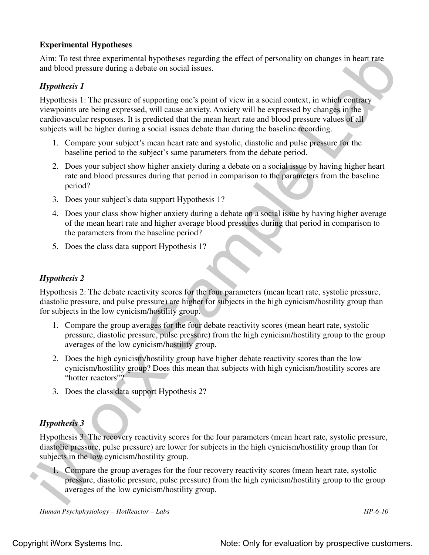## **Experimental Hypotheses**

Aim: To test three experimental hypotheses regarding the effect of personality on changes in heart rate and blood pressure during a debate on social issues.

# *Hypothesis 1*

Ain: To test these experimental by<br>probeses regarding the effect of personality on changes in heart rate<br>and blood persone throng a delate on social resuse.<br> *Hypothesis* 1: The pressure of supporting one's point of view Hypothesis 1: The pressure of supporting one's point of view in a social context, in which contrary viewpoints are being expressed, will cause anxiety. Anxiety will be expressed by changes in the cardiovascular responses. It is predicted that the mean heart rate and blood pressure values of all subjects will be higher during a social issues debate than during the baseline recording.

- 1. Compare your subject's mean heart rate and systolic, diastolic and pulse pressure for the baseline period to the subject's same parameters from the debate period.
- 2. Does your subject show higher anxiety during a debate on a social issue by having higher heart rate and blood pressures during that period in comparison to the parameters from the baseline period?
- 3. Does your subject's data support Hypothesis 1?
- 4. Does your class show higher anxiety during a debate on a social issue by having higher average of the mean heart rate and higher average blood pressures during that period in comparison to the parameters from the baseline period?
- 5. Does the class data support Hypothesis 1?

# *Hypothesis 2*

Hypothesis 2: The debate reactivity scores for the four parameters (mean heart rate, systolic pressure, diastolic pressure, and pulse pressure) are higher for subjects in the high cynicism/hostility group than for subjects in the low cynicism/hostility group.

- 1. Compare the group averages for the four debate reactivity scores (mean heart rate, systolic pressure, diastolic pressure, pulse pressure) from the high cynicism/hostility group to the group averages of the low cynicism/hostility group.
- 2. Does the high cynicism/hostility group have higher debate reactivity scores than the low cynicism/hostility group? Does this mean that subjects with high cynicism/hostility scores are "hotter reactors"?
- 3. Does the class data support Hypothesis 2?

# *Hypothesis 3*

Hypothesis 3: The recovery reactivity scores for the four parameters (mean heart rate, systolic pressure, diastolic pressure, pulse pressure) are lower for subjects in the high cynicism/hostility group than for subjects in the low cynicism/hostility group.

1. Compare the group averages for the four recovery reactivity scores (mean heart rate, systolic pressure, diastolic pressure, pulse pressure) from the high cynicism/hostility group to the group averages of the low cynicism/hostility group.